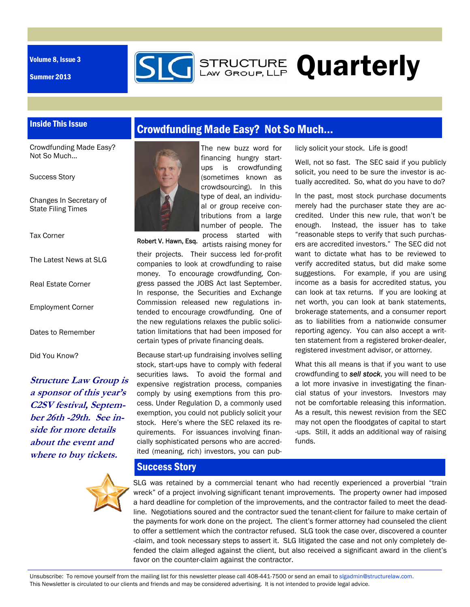Volume 8, Issue 3

Summer 2013



# **GENALLY GROUP, LLP Quarterly**

## Inside This Issue

Crowdfunding Made Easy? Not So Much...

Success Story

Changes In Secretary of State Filing Times

Tax Corner

The Latest News at SLG

Real Estate Corner

Employment Corner

Dates to Remember

Did You Know?

**Structure Law Group is a sponsor of this year's C2SV festival, September 26th -29th. See inside for more details about the event and where to buy tickets.** 



# Crowdfunding Made Easy? Not So Much…



Robert V. Hawn, Esq.

The new buzz word for financing hungry startups is crowdfunding (sometimes known as crowdsourcing). In this type of deal, an individual or group receive contributions from a large number of people. The process started with

artists raising money for their projects. Their success led for-profit companies to look at crowdfunding to raise money. To encourage crowdfunding, Congress passed the JOBS Act last September. In response, the Securities and Exchange Commission released new regulations intended to encourage crowdfunding. One of the new regulations relaxes the public solicitation limitations that had been imposed for certain types of private financing deals.

Because start-up fundraising involves selling stock, start-ups have to comply with federal securities laws. To avoid the formal and expensive registration process, companies comply by using exemptions from this process. Under Regulation D, a commonly used exemption, you could not publicly solicit your stock. Here's where the SEC relaxed its requirements. For issuances involving financially sophisticated persons who are accredited (meaning, rich) investors, you can publicly solicit your stock. Life is good!

Well, not so fast. The SEC said if you publicly solicit, you need to be sure the investor is actually accredited. So, what do you have to do?

In the past, most stock purchase documents merely had the purchaser state they are accredited. Under this new rule, that won't be enough. Instead, the issuer has to take "reasonable steps to verify that such purchasers are accredited investors." The SEC did not want to dictate what has to be reviewed to verify accredited status, but did make some suggestions. For example, if you are using income as a basis for accredited status, you can look at tax returns. If you are looking at net worth, you can look at bank statements, brokerage statements, and a consumer report as to liabilities from a nationwide consumer reporting agency. You can also accept a written statement from a registered broker-dealer, registered investment advisor, or attorney.

What this all means is that if you want to use crowdfunding to *sell stock*, you will need to be a lot more invasive in investigating the financial status of your investors. Investors may not be comfortable releasing this information. As a result, this newest revision from the SEC may not open the floodgates of capital to start -ups. Still, it adds an additional way of raising funds.

## Success Story

SLG was retained by a commercial tenant who had recently experienced a proverbial "train wreck" of a project involving significant tenant improvements. The property owner had imposed a hard deadline for completion of the improvements, and the contractor failed to meet the deadline. Negotiations soured and the contractor sued the tenant-client for failure to make certain of the payments for work done on the project. The client's former attorney had counseled the client to offer a settlement which the contractor refused. SLG took the case over, discovered a counter -claim, and took necessary steps to assert it. SLG litigated the case and not only completely defended the claim alleged against the client, but also received a significant award in the client's favor on the counter-claim against the contractor.

Unsubscribe: To remove yourself from the mailing list for this newsletter please call 408-441-7500 or send an email to slgadmin@structurelaw.com. This Newsletter is circulated to our clients and friends and may be considered advertising. It is not intended to provide legal advice.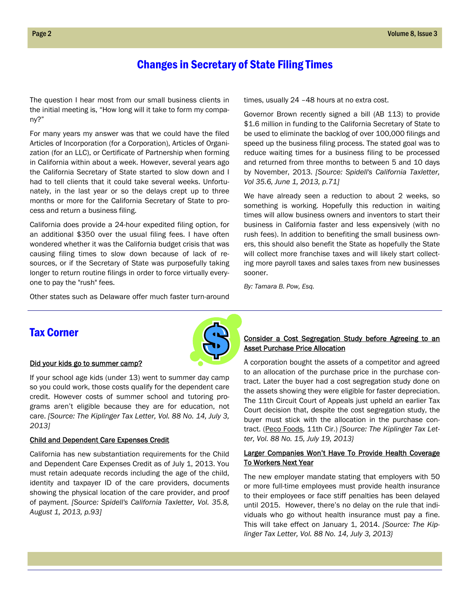## Changes in Secretary of State Filing Times

The question I hear most from our small business clients in the initial meeting is, "How long will it take to form my company?"

For many years my answer was that we could have the filed Articles of Incorporation (for a Corporation), Articles of Organization (for an LLC), or Certificate of Partnership when forming in California within about a week. However, several years ago the California Secretary of State started to slow down and I had to tell clients that it could take several weeks. Unfortunately, in the last year or so the delays crept up to three months or more for the California Secretary of State to process and return a business filing.

California does provide a 24-hour expedited filing option, for an additional \$350 over the usual filing fees. I have often wondered whether it was the California budget crisis that was causing filing times to slow down because of lack of resources, or if the Secretary of State was purposefully taking longer to return routine filings in order to force virtually everyone to pay the "rush" fees.

Other states such as Delaware offer much faster turn-around

times, usually 24 –48 hours at no extra cost.

Governor Brown recently signed a bill (AB 113) to provide \$1.6 million in funding to the California Secretary of State to be used to eliminate the backlog of over 100,000 filings and speed up the business filing process. The stated goal was to reduce waiting times for a business filing to be processed and returned from three months to between 5 and 10 days by November, 2013. *[Source: Spidell's California Taxletter, Vol 35.6, June 1, 2013, p.71]* 

We have already seen a reduction to about 2 weeks, so something is working. Hopefully this reduction in waiting times will allow business owners and inventors to start their business in California faster and less expensively (with no rush fees). In addition to benefiting the small business owners, this should also benefit the State as hopefully the State will collect more franchise taxes and will likely start collecting more payroll taxes and sales taxes from new businesses sooner.

*By: Tamara B. Pow, Esq.* 

## Tax Corner



If your school age kids (under 13) went to summer day camp so you could work, those costs qualify for the dependent care credit. However costs of summer school and tutoring programs aren't eligible because they are for education, not care. *[Source: The Kiplinger Tax Letter, Vol. 88 No. 14, July 3, 2013]* 

#### Child and Dependent Care Expenses Credit

California has new substantiation requirements for the Child and Dependent Care Expenses Credit as of July 1, 2013. You must retain adequate records including the age of the child, identity and taxpayer ID of the care providers, documents showing the physical location of the care provider, and proof of payment. *[Source: Spidell's California Taxletter, Vol. 35.8, August 1, 2013, p.93]*

#### Consider a Cost Segregation Study before Agreeing to an Asset Purchase Price Allocation

A corporation bought the assets of a competitor and agreed to an allocation of the purchase price in the purchase contract. Later the buyer had a cost segregation study done on the assets showing they were eligible for faster depreciation. The 11th Circuit Court of Appeals just upheld an earlier Tax Court decision that, despite the cost segregation study, the buyer must stick with the allocation in the purchase contract. (Peco Foods, 11th Cir.) *[Source: The Kiplinger Tax Letter, Vol. 88 No. 15, July 19, 2013}* 

#### Larger Companies Won't Have To Provide Health Coverage To Workers Next Year

The new employer mandate stating that employers with 50 or more full-time employees must provide health insurance to their employees or face stiff penalties has been delayed until 2015. However, there's no delay on the rule that individuals who go without health insurance must pay a fine. This will take effect on January 1, 2014. *[Source: The Kiplinger Tax Letter, Vol. 88 No. 14, July 3, 2013}*

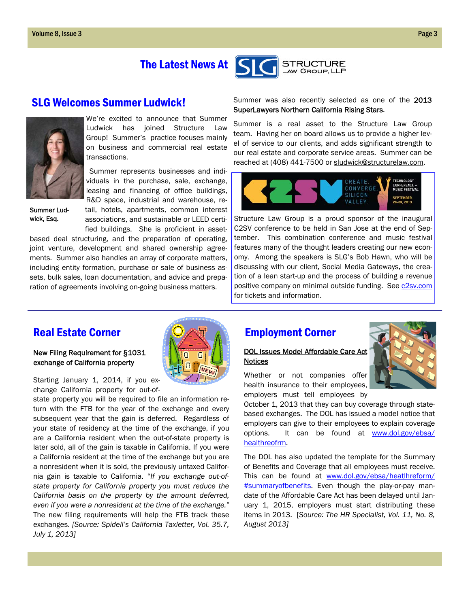# The Latest News At

## SLG Welcomes Summer Ludwick!



We're excited to announce that Summer Ludwick has joined Structure Law Group! Summer's practice focuses mainly on business and commercial real estate transactions.

 Summer represents businesses and individuals in the purchase, sale, exchange, leasing and financing of office buildings,

Summer Lud-

R&D space, industrial and warehouse, retail, hotels, apartments, common interest associations, and sustainable or LEED certified buildings. She is proficient in asset-

based deal structuring, and the preparation of operating, joint venture, development and shared ownership agreements. Summer also handles an array of corporate matters, including entity formation, purchase or sale of business assets, bulk sales, loan documentation, and advice and preparation of agreements involving on-going business matters.

#### Summer was also recently selected as one of the 2013 SuperLawyers Northern California Rising Stars.

**STRUCTURE** LAW GROUP, LLP

Summer is a real asset to the Structure Law Group team. Having her on board allows us to provide a higher level of service to our clients, and adds significant strength to our real estate and corporate service areas. Summer can be reached at (408) 441-7500 or sludwick@structurelaw.com.



wick, Esg.  $\frac{1}{1}$  associations, and sustainable or LFFD certi- Structure Law Group is a proud sponsor of the inaugural C2SV conference to be held in San Jose at the end of September. This combination conference and music festival features many of the thought leaders creating our new economy. Among the speakers is SLG's Bob Hawn, who will be discussing with our client, Social Media Gateways, the creation of a lean start-up and the process of building a revenue positive company on minimal outside funding. See c2sv.com for tickets and information.

## Real Estate Corner

### New Filing Requirement for §1031 exchange of California property

Starting January 1, 2014, if you exchange California property for out-of-

state property you will be required to file an information return with the FTB for the year of the exchange and every subsequent year that the gain is deferred. Regardless of your state of residency at the time of the exchange, if you are a California resident when the out-of-state property is later sold, all of the gain is taxable in California. If you were a California resident at the time of the exchange but you are a nonresident when it is sold, the previously untaxed California gain is taxable to California. "*If you exchange out-ofstate property for California property you must reduce the California basis on the property by the amount deferred, even if you were a nonresident at the time of the exchange."*  The new filing requirements will help the FTB track these exchanges. *[Source: Spidell's California Taxletter, Vol. 35.7, July 1, 2013]* 

# Employment Corner

#### DOL Issues Model Affordable Care Act **Notices**

Whether or not companies offer health insurance to their employees, employers must tell employees by

October 1, 2013 that they can buy coverage through statebased exchanges. The DOL has issued a model notice that employers can give to their employees to explain coverage options. It can be found at www.dol.gov/ebsa/ healthreofrm.

The DOL has also updated the template for the Summary of Benefits and Coverage that all employees must receive. This can be found at www.dol.gov/ebsa/heatlhreform/ #summaryofbenefits. Even though the play-or-pay mandate of the Affordable Care Act has been delayed until January 1, 2015, employers must start distributing these items in 2013. [*Source: The HR Specialist, Vol. 11, No. 8, August 2013]*